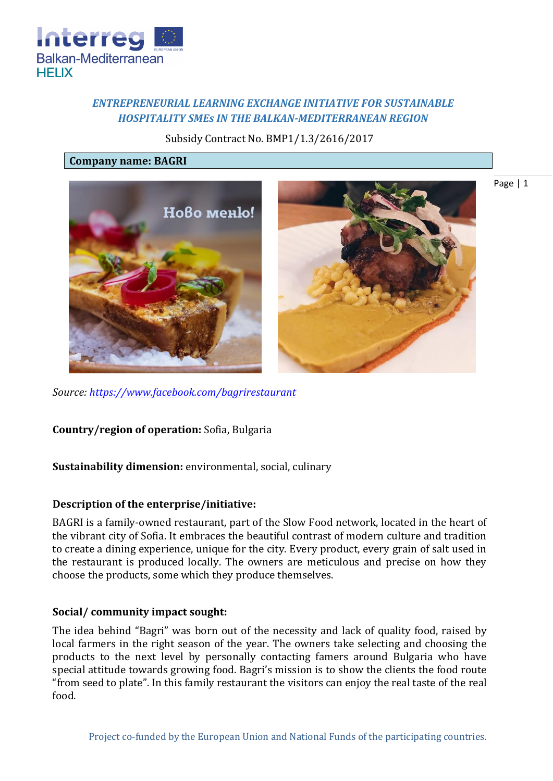

# *ENTREPRENEURIAL LEARNING EXCHANGE INITIATIVE FOR SUSTAINABLE HOSPITALITY SMEs IN THE BALKAN-MEDITERRANEAN REGION*

Subsidy Contract No. BMP1/1.3/2616/2017

#### **Company name: BAGRI**



Page | 1

*Source:<https://www.facebook.com/bagrirestaurant>*

**Country/region of operation:** Sofia, Bulgaria

# **Sustainability dimension:** environmental, social, culinary

#### **Description of the enterprise/initiative:**

BAGRI is a family-owned restaurant, part of the Slow Food network, located in the heart of the vibrant city of Sofia. It embraces the beautiful contrast of modern culture and tradition to create a dining experience, unique for the city. Every product, every grain of salt used in the restaurant is produced locally. The owners are meticulous and precise on how they choose the products, some which they produce themselves.

#### **Social/ community impact sought:**

The idea behind "Bagri" was born out of the necessity and lack of quality food, raised by local farmers in the right season of the year. The owners take selecting and choosing the products to the next level by personally contacting famers around Bulgaria who have special attitude towards growing food. Bagri's mission is to show the clients the food route "from seed to plate". In this family restaurant the visitors can enjoy the real taste of the real food.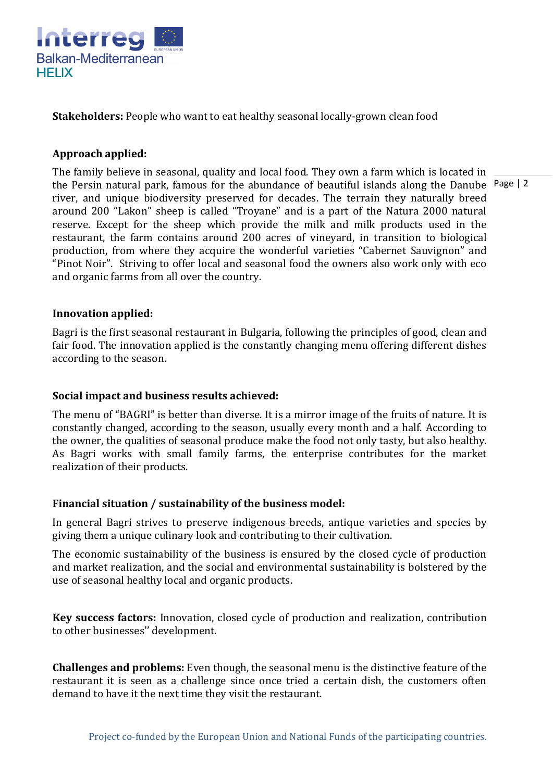

**Stakeholders:** People who want to eat healthy seasonal locally-grown clean food

# **Approach applied:**

the Persin natural park, famous for the abundance of beautiful islands along the Danube Page | 2 The family believe in seasonal, quality and local food. They own a farm which is located in river, and unique biodiversity preserved for decades. The terrain they naturally breed around 200 "Lakon" sheep is called "Troyane" and is a part of the Natura 2000 natural reserve. Except for the sheep which provide the milk and milk products used in the restaurant, the farm contains around 200 acres of vineyard, in transition to biological production, from where they acquire the wonderful varieties "Cabernet Sauvignon" and "Pinot Noir". Striving to offer local and seasonal food the owners also work only with eco and organic farms from all over the country.

### **Innovation applied:**

Bagri is the first seasonal restaurant in Bulgaria, following the principles of good, clean and fair food. The innovation applied is the constantly changing menu offering different dishes according to the season.

### **Social impact and business results achieved:**

The menu of "BAGRI" is better than diverse. It is a mirror image of the fruits of nature. It is constantly changed, according to the season, usually every month and a half. According to the owner, the qualities of seasonal produce make the food not only tasty, but also healthy. As Bagri works with small family farms, the enterprise contributes for the market realization of their products.

#### **Financial situation / sustainability of the business model:**

In general Bagri strives to preserve indigenous breeds, antique varieties and species by giving them a unique culinary look and contributing to their cultivation.

The economic sustainability of the business is ensured by the closed cycle of production and market realization, and the social and environmental sustainability is bolstered by the use of seasonal healthy local and organic products.

**Key success factors:** Innovation, closed cycle of production and realization, contribution to other businesses'' development.

**Challenges and problems:** Even though, the seasonal menu is the distinctive feature of the restaurant it is seen as a challenge since once tried a certain dish, the customers often demand to have it the next time they visit the restaurant.